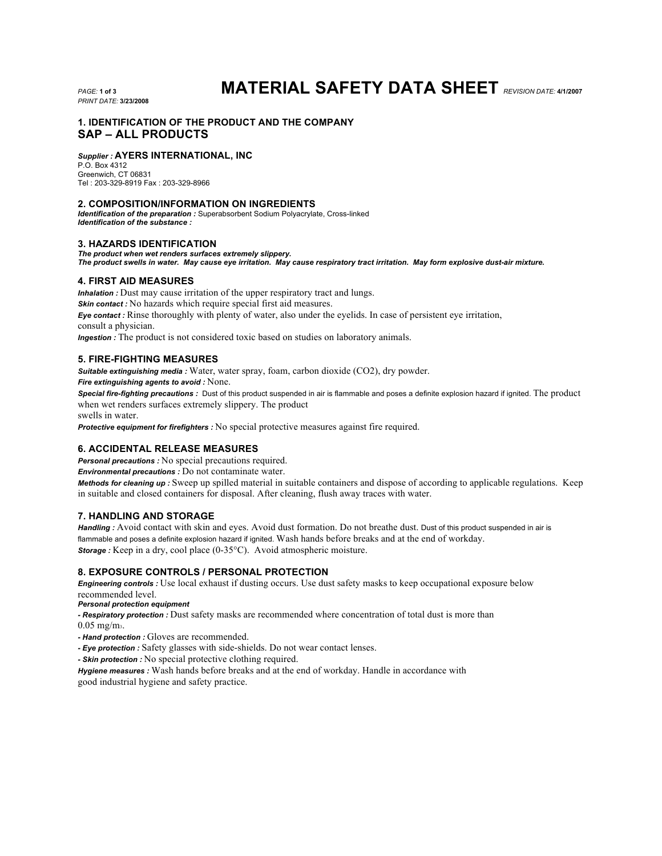*PRINT DATE:* **3/23/2008**

# *PAGE:* **1 of 3 MATERIAL SAFETY DATA SHEET** *REVISION DATE:* **4/1/2007**

# **1. IDENTIFICATION OF THE PRODUCT AND THE COMPANY SAP – ALL PRODUCTS**

## *Supplier :* **AYERS INTERNATIONAL, INC**

P.O. Box 4312 Greenwich, CT 06831 Tel : 203-329-8919 Fax : 203-329-8966

### **2. COMPOSITION/INFORMATION ON INGREDIENTS**

*Identification of the preparation :* Superabsorbent Sodium Polyacrylate, Cross-linked *Identification of the substance :*

# **3. HAZARDS IDENTIFICATION**

*The product when wet renders surfaces extremely slippery. The product swells in water. May cause eye irritation. May cause respiratory tract irritation. May form explosive dust-air mixture.* 

## **4. FIRST AID MEASURES**

*Inhalation : Dust may cause irritation of the upper respiratory tract and lungs.* **Skin contact :** No hazards which require special first aid measures. *Eye contact :* Rinse thoroughly with plenty of water, also under the eyelids. In case of persistent eye irritation, consult a physician. *Ingestion :* The product is not considered toxic based on studies on laboratory animals.

## **5. FIRE-FIGHTING MEASURES**

*Suitable extinguishing media :* Water, water spray, foam, carbon dioxide (CO2), dry powder.

*Fire extinguishing agents to avoid :* None.

*Special fire-fighting precautions :* Dust of this product suspended in air is flammable and poses a definite explosion hazard if ignited. The product when wet renders surfaces extremely slippery. The product

swells in water.

*Protective equipment for firefighters :* No special protective measures against fire required.

# **6. ACCIDENTAL RELEASE MEASURES**

*Personal precautions :* No special precautions required.

*Environmental precautions :* Do not contaminate water.

*Methods for cleaning up :* Sweep up spilled material in suitable containers and dispose of according to applicable regulations. Keep in suitable and closed containers for disposal. After cleaning, flush away traces with water.

# **7. HANDLING AND STORAGE**

Handling : Avoid contact with skin and eyes. Avoid dust formation. Do not breathe dust. Dust of this product suspended in air is flammable and poses a definite explosion hazard if ignited. Wash hands before breaks and at the end of workday. **Storage** : Keep in a dry, cool place (0-35°C). Avoid atmospheric moisture.

#### **8. EXPOSURE CONTROLS / PERSONAL PROTECTION**

*Engineering controls :* Use local exhaust if dusting occurs. Use dust safety masks to keep occupational exposure below recommended level.

*Personal protection equipment*

*- Respiratory protection :* Dust safety masks are recommended where concentration of total dust is more than 0.05 mg/m3.

- *- Hand protection :* Gloves are recommended.
- *- Eye protection :* Safety glasses with side-shields. Do not wear contact lenses.

*- Skin protection :* No special protective clothing required.

*Hygiene measures :* Wash hands before breaks and at the end of workday. Handle in accordance with good industrial hygiene and safety practice.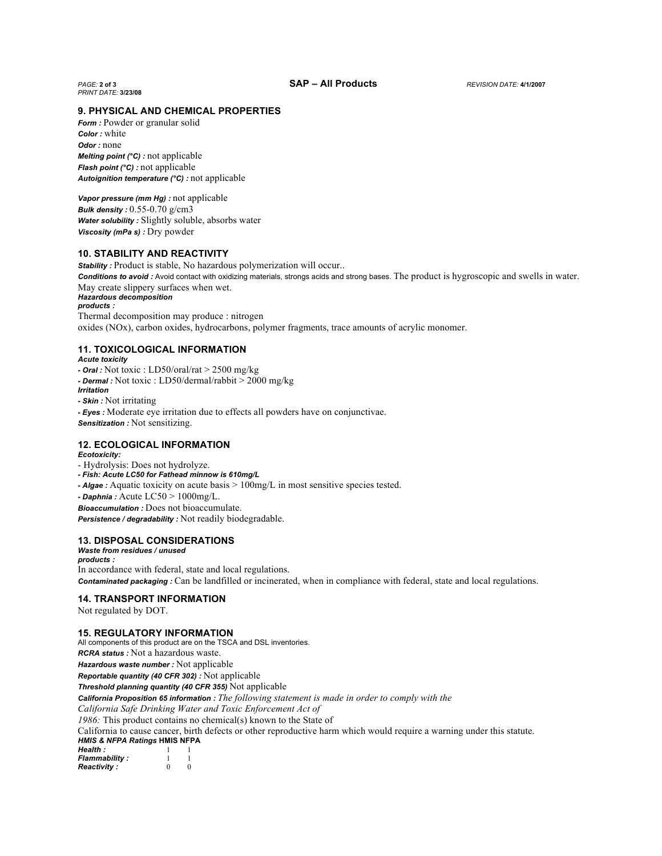*PRINT DATE:* **3/23/08**

#### **9. PHYSICAL AND CHEMICAL PROPERTIES**

*Form : Powder or granular solid Color :* white *Odor :* none *Melting point (°C) :* not applicable *Flash point (°C) :* not applicable *Autoignition temperature (°C) :* not applicable

*Vapor pressure (mm Hg) :* not applicable *Bulk density :* 0.55-0.70 g/cm3 *Water solubility :* Slightly soluble, absorbs water *Viscosity (mPa s) :* Dry powder

#### **10. STABILITY AND REACTIVITY**

**Stability**: Product is stable, No hazardous polymerization will occur.. **Conditions to avoid :** Avoid contact with oxidizing materials, strongs acids and strong bases. The product is hygroscopic and swells in water. May create slippery surfaces when wet. *Hazardous decomposition products :* Thermal decomposition may produce : nitrogen

oxides (NOx), carbon oxides, hydrocarbons, polymer fragments, trace amounts of acrylic monomer.

#### **11. TOXICOLOGICAL INFORMATION**

*Acute toxicity*

- *- Oral :* Not toxic : LD50/oral/rat > 2500 mg/kg
- *- Dermal :* Not toxic : LD50/dermal/rabbit > 2000 mg/kg

*Irritation*

*- Skin :* Not irritating

*- Eyes :* Moderate eye irritation due to effects all powders have on conjunctivae. *Sensitization :* Not sensitizing.

#### **12. ECOLOGICAL INFORMATION**

*Ecotoxicity:*

- Hydrolysis: Does not hydrolyze.
- *- Fish: Acute LC50 for Fathead minnow is 610mg/L*
- *- Algae :* Aquatic toxicity on acute basis > 100mg/L in most sensitive species tested.
- *- Daphnia :* Acute LC50 > 1000mg/L.

*Bioaccumulation :* Does not bioaccumulate.

*Persistence / degradability :* Not readily biodegradable.

# **13. DISPOSAL CONSIDERATIONS**

*Waste from residues / unused products :* In accordance with federal, state and local regulations. *Contaminated packaging :* Can be landfilled or incinerated, when in compliance with federal, state and local regulations.

#### **14. TRANSPORT INFORMATION**

Not regulated by DOT.

#### **15. REGULATORY INFORMATION**

All components of this product are on the TSCA and DSL inventories. *RCRA status :* Not a hazardous waste. *Hazardous waste number :* Not applicable *Reportable quantity (40 CFR 302) :* Not applicable *Threshold planning quantity (40 CFR 355)* Not applicable *California Proposition 65 information : The following statement is made in order to comply with the California Safe Drinking Water and Toxic Enforcement Act of 1986:* This product contains no chemical(s) known to the State of California to cause cancer, birth defects or other reproductive harm which would require a warning under this statute. *HMIS & NFPA Ratings* **HMIS NFPA** *Health :* 1 1 **Flammability :** 1 1<br>**Reactivity :** 0 0 **Reactivity :**